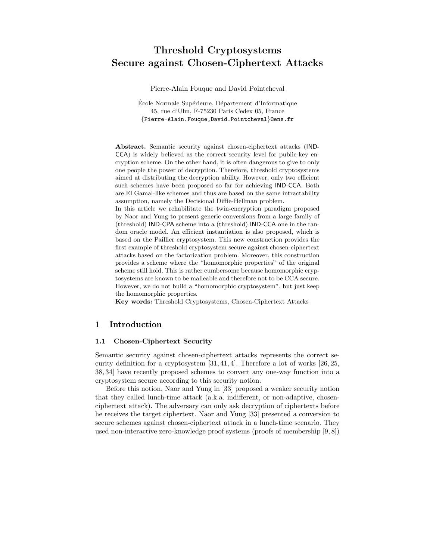# Threshold Cryptosystems Secure against Chosen-Ciphertext Attacks

Pierre-Alain Fouque and David Pointcheval

École Normale Supérieure, Département d'Informatique 45, rue d'Ulm, F-75230 Paris Cedex 05, France {Pierre-Alain.Fouque,David.Pointcheval}@ens.fr

Abstract. Semantic security against chosen-ciphertext attacks (IND-CCA) is widely believed as the correct security level for public-key encryption scheme. On the other hand, it is often dangerous to give to only one people the power of decryption. Therefore, threshold cryptosystems aimed at distributing the decryption ability. However, only two efficient such schemes have been proposed so far for achieving IND-CCA. Both are El Gamal-like schemes and thus are based on the same intractability assumption, namely the Decisional Diffie-Hellman problem.

In this article we rehabilitate the twin-encryption paradigm proposed by Naor and Yung to present generic conversions from a large family of (threshold) IND-CPA scheme into a (threshold) IND-CCA one in the random oracle model. An efficient instantiation is also proposed, which is based on the Paillier cryptosystem. This new construction provides the first example of threshold cryptosystem secure against chosen-ciphertext attacks based on the factorization problem. Moreover, this construction provides a scheme where the "homomorphic properties" of the original scheme still hold. This is rather cumbersome because homomorphic cryptosystems are known to be malleable and therefore not to be CCA secure. However, we do not build a "homomorphic cryptosystem", but just keep the homomorphic properties.

Key words: Threshold Cryptosystems, Chosen-Ciphertext Attacks

# 1 Introduction

#### 1.1 Chosen-Ciphertext Security

Semantic security against chosen-ciphertext attacks represents the correct security definition for a cryptosystem  $[31, 41, 4]$ . Therefore a lot of works  $[26, 25,$ 38, 34] have recently proposed schemes to convert any one-way function into a cryptosystem secure according to this security notion.

Before this notion, Naor and Yung in [33] proposed a weaker security notion that they called lunch-time attack (a.k.a. indifferent, or non-adaptive, chosenciphertext attack). The adversary can only ask decryption of ciphertexts before he receives the target ciphertext. Naor and Yung [33] presented a conversion to secure schemes against chosen-ciphertext attack in a lunch-time scenario. They used non-interactive zero-knowledge proof systems (proofs of membership [9, 8])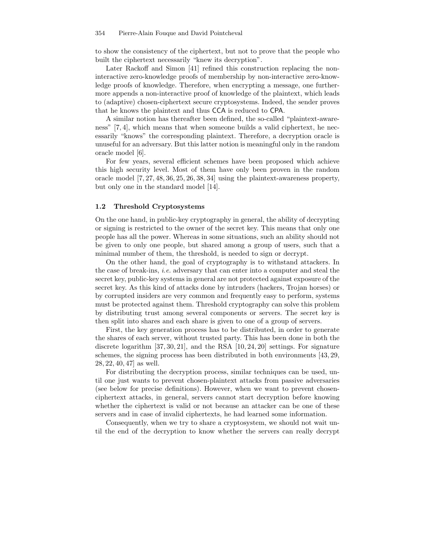to show the consistency of the ciphertext, but not to prove that the people who built the ciphertext necessarily "knew its decryption".

Later Rackoff and Simon [41] refined this construction replacing the noninteractive zero-knowledge proofs of membership by non-interactive zero-knowledge proofs of knowledge. Therefore, when encrypting a message, one furthermore appends a non-interactive proof of knowledge of the plaintext, which leads to (adaptive) chosen-ciphertext secure cryptosystems. Indeed, the sender proves that he knows the plaintext and thus CCA is reduced to CPA.

A similar notion has thereafter been defined, the so-called "plaintext-awareness" [7, 4], which means that when someone builds a valid ciphertext, he necessarily "knows" the corresponding plaintext. Therefore, a decryption oracle is unuseful for an adversary. But this latter notion is meaningful only in the random oracle model [6].

For few years, several efficient schemes have been proposed which achieve this high security level. Most of them have only been proven in the random oracle model [7, 27, 48, 36, 25, 26, 38, 34] using the plaintext-awareness property, but only one in the standard model [14].

#### 1.2 Threshold Cryptosystems

On the one hand, in public-key cryptography in general, the ability of decrypting or signing is restricted to the owner of the secret key. This means that only one people has all the power. Whereas in some situations, such an ability should not be given to only one people, but shared among a group of users, such that a minimal number of them, the threshold, is needed to sign or decrypt.

On the other hand, the goal of cryptography is to withstand attackers. In the case of break-ins, i.e. adversary that can enter into a computer and steal the secret key, public-key systems in general are not protected against exposure of the secret key. As this kind of attacks done by intruders (hackers, Trojan horses) or by corrupted insiders are very common and frequently easy to perform, systems must be protected against them. Threshold cryptography can solve this problem by distributing trust among several components or servers. The secret key is then split into shares and each share is given to one of a group of servers.

First, the key generation process has to be distributed, in order to generate the shares of each server, without trusted party. This has been done in both the discrete logarithm [37, 30, 21], and the RSA [10, 24, 20] settings. For signature schemes, the signing process has been distributed in both environments [43, 29, 28, 22, 40, 47] as well.

For distributing the decryption process, similar techniques can be used, until one just wants to prevent chosen-plaintext attacks from passive adversaries (see below for precise definitions). However, when we want to prevent chosenciphertext attacks, in general, servers cannot start decryption before knowing whether the ciphertext is valid or not because an attacker can be one of these servers and in case of invalid ciphertexts, he had learned some information.

Consequently, when we try to share a cryptosystem, we should not wait until the end of the decryption to know whether the servers can really decrypt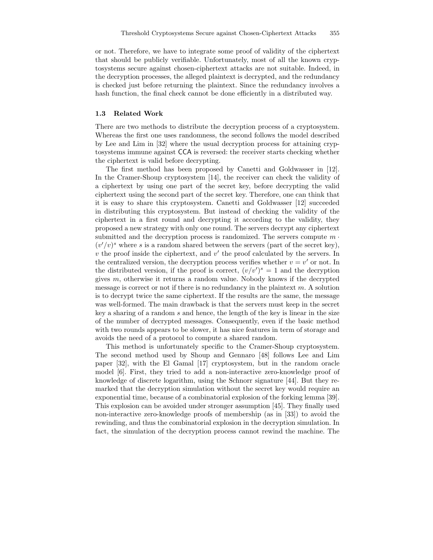or not. Therefore, we have to integrate some proof of validity of the ciphertext that should be publicly verifiable. Unfortunately, most of all the known cryptosystems secure against chosen-ciphertext attacks are not suitable. Indeed, in the decryption processes, the alleged plaintext is decrypted, and the redundancy is checked just before returning the plaintext. Since the redundancy involves a hash function, the final check cannot be done efficiently in a distributed way.

#### 1.3 Related Work

There are two methods to distribute the decryption process of a cryptosystem. Whereas the first one uses randomness, the second follows the model described by Lee and Lim in [32] where the usual decryption process for attaining cryptosystems immune against CCA is reversed: the receiver starts checking whether the ciphertext is valid before decrypting.

The first method has been proposed by Canetti and Goldwasser in [12]. In the Cramer-Shoup cryptosystem [14], the receiver can check the validity of a ciphertext by using one part of the secret key, before decrypting the valid ciphertext using the second part of the secret key. Therefore, one can think that it is easy to share this cryptosystem. Canetti and Goldwasser [12] succeeded in distributing this cryptosystem. But instead of checking the validity of the ciphertext in a first round and decrypting it according to the validity, they proposed a new strategy with only one round. The servers decrypt any ciphertext submitted and the decryption process is randomized. The servers compute  $m$ .  $(v'/v)^s$  where s is a random shared between the servers (part of the secret key),  $v$  the proof inside the ciphertext, and  $v'$  the proof calculated by the servers. In the centralized version, the decryption process verifies whether  $v = v'$  or not. In the distributed version, if the proof is correct,  $(v/v')^s = 1$  and the decryption gives  $m$ , otherwise it returns a random value. Nobody knows if the decrypted message is correct or not if there is no redundancy in the plaintext  $m$ . A solution is to decrypt twice the same ciphertext. If the results are the same, the message was well-formed. The main drawback is that the servers must keep in the secret key a sharing of a random s and hence, the length of the key is linear in the size of the number of decrypted messages. Consequently, even if the basic method with two rounds appears to be slower, it has nice features in term of storage and avoids the need of a protocol to compute a shared random.

This method is unfortunately specific to the Cramer-Shoup cryptosystem. The second method used by Shoup and Gennaro [48] follows Lee and Lim paper [32], with the El Gamal [17] cryptosystem, but in the random oracle model [6]. First, they tried to add a non-interactive zero-knowledge proof of knowledge of discrete logarithm, using the Schnorr signature [44]. But they remarked that the decryption simulation without the secret key would require an exponential time, because of a combinatorial explosion of the forking lemma [39]. This explosion can be avoided under stronger assumption [45]. They finally used non-interactive zero-knowledge proofs of membership (as in [33]) to avoid the rewinding, and thus the combinatorial explosion in the decryption simulation. In fact, the simulation of the decryption process cannot rewind the machine. The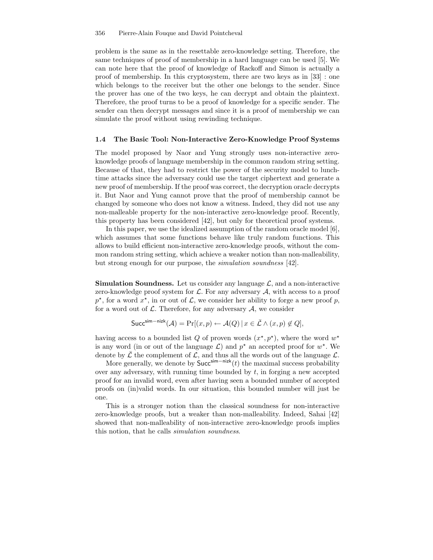problem is the same as in the resettable zero-knowledge setting. Therefore, the same techniques of proof of membership in a hard language can be used [5]. We can note here that the proof of knowledge of Rackoff and Simon is actually a proof of membership. In this cryptosystem, there are two keys as in [33] : one which belongs to the receiver but the other one belongs to the sender. Since the prover has one of the two keys, he can decrypt and obtain the plaintext. Therefore, the proof turns to be a proof of knowledge for a specific sender. The sender can then decrypt messages and since it is a proof of membership we can simulate the proof without using rewinding technique.

#### 1.4 The Basic Tool: Non-Interactive Zero-Knowledge Proof Systems

The model proposed by Naor and Yung strongly uses non-interactive zeroknowledge proofs of language membership in the common random string setting. Because of that, they had to restrict the power of the security model to lunchtime attacks since the adversary could use the target ciphertext and generate a new proof of membership. If the proof was correct, the decryption oracle decrypts it. But Naor and Yung cannot prove that the proof of membership cannot be changed by someone who does not know a witness. Indeed, they did not use any non-malleable property for the non-interactive zero-knowledge proof. Recently, this property has been considered [42], but only for theoretical proof systems.

In this paper, we use the idealized assumption of the random oracle model [6], which assumes that some functions behave like truly random functions. This allows to build efficient non-interactive zero-knowledge proofs, without the common random string setting, which achieve a weaker notion than non-malleability, but strong enough for our purpose, the simulation soundness [42].

**Simulation Soundness.** Let us consider any language  $\mathcal{L}$ , and a non-interactive zero-knowledge proof system for  $\mathcal{L}$ . For any adversary  $\mathcal{A}$ , with access to a proof  $p^*$ , for a word  $x^*$ , in or out of  $\mathcal{L}$ , we consider her ability to forge a new proof p, for a word out of  $\mathcal{L}$ . Therefore, for any adversary  $\mathcal{A}$ , we consider

$$
\mathsf{Succ}^{\mathsf{sim-nizk}}(\mathcal{A}) = \Pr[(x, p) \leftarrow \mathcal{A}(Q) \, | \, x \in \bar{\mathcal{L}} \land (x, p) \notin Q],
$$

having access to a bounded list Q of proven words  $(x^*, p^*)$ , where the word  $w^*$ is any word (in or out of the language  $\mathcal{L}$ ) and  $p^*$  an accepted proof for  $w^*$ . We denote by  $\bar{\mathcal{L}}$  the complement of  $\mathcal{L}$ , and thus all the words out of the language  $\mathcal{L}$ .

More generally, we denote by  $Succ^{sim-nizk}(t)$  the maximal success probability over any adversary, with running time bounded by  $t$ , in forging a new accepted proof for an invalid word, even after having seen a bounded number of accepted proofs on (in)valid words. In our situation, this bounded number will just be one.

This is a stronger notion than the classical soundness for non-interactive zero-knowledge proofs, but a weaker than non-malleability. Indeed, Sahai [42] showed that non-malleability of non-interactive zero-knowledge proofs implies this notion, that he calls simulation soundness.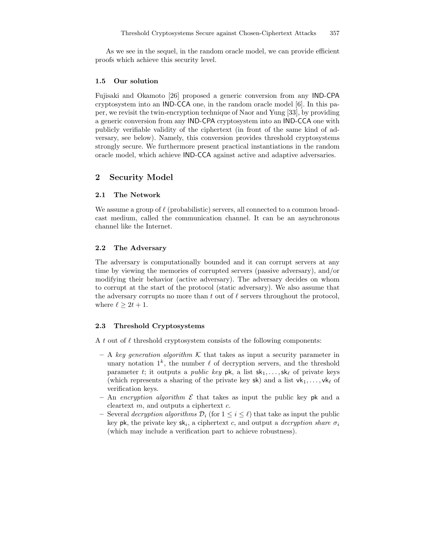As we see in the sequel, in the random oracle model, we can provide efficient proofs which achieve this security level.

#### 1.5 Our solution

Fujisaki and Okamoto [26] proposed a generic conversion from any IND-CPA cryptosystem into an IND-CCA one, in the random oracle model [6]. In this paper, we revisit the twin-encryption technique of Naor and Yung [33], by providing a generic conversion from any IND-CPA cryptosystem into an IND-CCA one with publicly verifiable validity of the ciphertext (in front of the same kind of adversary, see below). Namely, this conversion provides threshold cryptosystems strongly secure. We furthermore present practical instantiations in the random oracle model, which achieve IND-CCA against active and adaptive adversaries.

## 2 Security Model

#### 2.1 The Network

We assume a group of  $\ell$  (probabilistic) servers, all connected to a common broadcast medium, called the communication channel. It can be an asynchronous channel like the Internet.

## 2.2 The Adversary

The adversary is computationally bounded and it can corrupt servers at any time by viewing the memories of corrupted servers (passive adversary), and/or modifying their behavior (active adversary). The adversary decides on whom to corrupt at the start of the protocol (static adversary). We also assume that the adversary corrupts no more than t out of  $\ell$  servers throughout the protocol, where  $\ell \geq 2t + 1$ .

#### 2.3 Threshold Cryptosystems

A t out of  $\ell$  threshold cryptosystem consists of the following components:

- A key generation algorithm  $K$  that takes as input a security parameter in unary notation  $1^k$ , the number  $\ell$  of decryption servers, and the threshold parameter t; it outputs a *public key* pk, a list  $sk_1, \ldots, sk_\ell$  of private keys (which represents a sharing of the private key  $sk$ ) and a list  $vk_1, \ldots, vk_\ell$  of verification keys.
- An encryption algorithm  $\mathcal E$  that takes as input the public key pk and a cleartext  $m$ , and outputs a ciphertext  $c$ .
- Several decryption algorithms  $\mathcal{D}_i$  (for  $1 \leq i \leq \ell$ ) that take as input the public key pk, the private key  $sk_i$ , a ciphertext c, and output a *decryption share*  $\sigma_i$ (which may include a verification part to achieve robustness).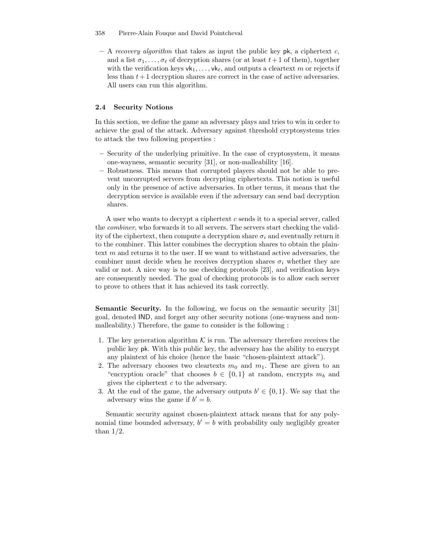- 358 Pierre-Alain Fouque and David Pointcheval
- A recovery algorithm that takes as input the public key pk, a ciphertext c, and a list  $\sigma_1, \ldots, \sigma_\ell$  of decryption shares (or at least  $t+1$  of them), together with the verification keys  $vk_1, \ldots, vk_\ell$ , and outputs a cleartext m or rejects if less than  $t+1$  decryption shares are correct in the case of active adversaries. All users can run this algorithm.

## 2.4 Security Notions

In this section, we define the game an adversary plays and tries to win in order to achieve the goal of the attack. Adversary against threshold cryptosystems tries to attack the two following properties :

- Security of the underlying primitive. In the case of cryptosystem, it means one-wayness, semantic security [31], or non-malleability [16].
- Robustness. This means that corrupted players should not be able to prevent uncorrupted servers from decrypting ciphertexts. This notion is useful only in the presence of active adversaries. In other terms, it means that the decryption service is available even if the adversary can send bad decryption shares.

A user who wants to decrypt a ciphertext c sends it to a special server, called the combiner, who forwards it to all servers. The servers start checking the validity of the ciphertext, then compute a decryption share  $\sigma_i$  and eventually return it to the combiner. This latter combines the decryption shares to obtain the plaintext  $m$  and returns it to the user. If we want to withstand active adversaries, the combiner must decide when he receives decryption shares  $\sigma_i$  whether they are valid or not. A nice way is to use checking protocols [23], and verification keys are consequently needed. The goal of checking protocols is to allow each server to prove to others that it has achieved its task correctly.

Semantic Security. In the following, we focus on the semantic security [31] goal, denoted IND, and forget any other security notions (one-wayness and nonmalleability.) Therefore, the game to consider is the following :

- 1. The key generation algorithm  $K$  is run. The adversary therefore receives the public key pk. With this public key, the adversary has the ability to encrypt any plaintext of his choice (hence the basic "chosen-plaintext attack").
- 2. The adversary chooses two cleartexts  $m_0$  and  $m_1$ . These are given to an "encryption oracle" that chooses  $b \in \{0,1\}$  at random, encrypts  $m_b$  and gives the ciphertext  $c$  to the adversary.
- 3. At the end of the game, the adversary outputs  $b' \in \{0, 1\}$ . We say that the adversary wins the game if  $b' = b$ .

Semantic security against chosen-plaintext attack means that for any polynomial time bounded adversary,  $b' = b$  with probability only negligibly greater than  $1/2$ .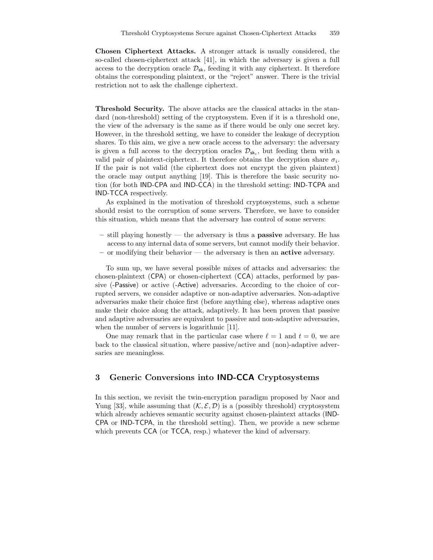Chosen Ciphertext Attacks. A stronger attack is usually considered, the so-called chosen-ciphertext attack [41], in which the adversary is given a full access to the decryption oracle  $\mathcal{D}_{sk}$ , feeding it with any ciphertext. It therefore obtains the corresponding plaintext, or the "reject" answer. There is the trivial restriction not to ask the challenge ciphertext.

Threshold Security. The above attacks are the classical attacks in the standard (non-threshold) setting of the cryptosystem. Even if it is a threshold one, the view of the adversary is the same as if there would be only one secret key. However, in the threshold setting, we have to consider the leakage of decryption shares. To this aim, we give a new oracle access to the adversary: the adversary is given a full access to the decryption oracles  $\mathcal{D}_{\mathsf{sk}_i}$ , but feeding them with a valid pair of plaintext-ciphertext. It therefore obtains the decryption share  $\sigma_i$ . If the pair is not valid (the ciphertext does not encrypt the given plaintext) the oracle may output anything [19]. This is therefore the basic security notion (for both IND-CPA and IND-CCA) in the threshold setting: IND-TCPA and IND-TCCA respectively.

As explained in the motivation of threshold cryptosystems, such a scheme should resist to the corruption of some servers. Therefore, we have to consider this situation, which means that the adversary has control of some servers:

- still playing honestly the adversary is thus a passive adversary. He has access to any internal data of some servers, but cannot modify their behavior.
- or modifying their behavior the adversary is then an **active** adversary.

To sum up, we have several possible mixes of attacks and adversaries: the chosen-plaintext (CPA) or chosen-ciphertext (CCA) attacks, performed by passive (-Passive) or active (-Active) adversaries. According to the choice of corrupted servers, we consider adaptive or non-adaptive adversaries. Non-adaptive adversaries make their choice first (before anything else), whereas adaptive ones make their choice along the attack, adaptively. It has been proven that passive and adaptive adversaries are equivalent to passive and non-adaptive adversaries, when the number of servers is logarithmic [11].

One may remark that in the particular case where  $\ell = 1$  and  $t = 0$ , we are back to the classical situation, where passive/active and (non)-adaptive adversaries are meaningless.

# 3 Generic Conversions into IND-CCA Cryptosystems

In this section, we revisit the twin-encryption paradigm proposed by Naor and Yung [33], while assuming that  $(K, \mathcal{E}, \mathcal{D})$  is a (possibly threshold) cryptosystem which already achieves semantic security against chosen-plaintext attacks (IND-CPA or IND-TCPA, in the threshold setting). Then, we provide a new scheme which prevents CCA (or TCCA, resp.) whatever the kind of adversary.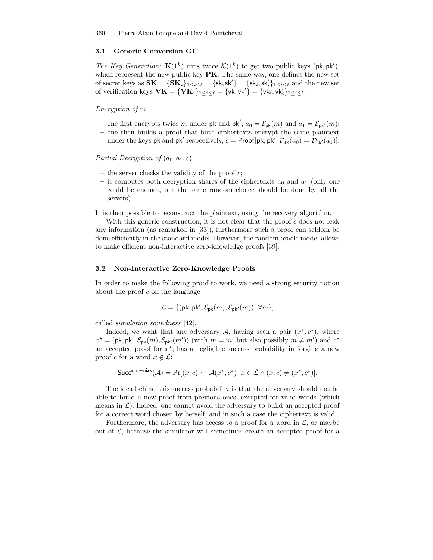#### 3.1 Generic Conversion GC

The Key Generation:  $\mathbf{K}(1^k)$  runs twice  $\mathcal{K}(1^k)$  to get two public keys (pk, pk'), which represent the new public key  $\mathbf{P}$ K. The same way, one defines the new set of secret keys as  $\mathbf{SK} = {\{\mathbf{SK}_i\}_{1 \leq i \leq \ell}} = {\{\mathsf{sk}, \mathsf{sk'}\}} = {\{\mathsf{sk}_i, \mathsf{sk}_i'\}_{1 \leq i \leq \ell}}$  and the new set of verification keys  $\mathbf{V}\mathbf{K} = {\{\mathbf{V}}\mathbf{K}_i\}_{1\leq i\leq \ell}} = {\{\mathsf{vk}, \mathsf{vk}'\}} = {\{\mathsf{vk}_i, \mathsf{vk}_i'\}_{1\leq i\leq \ell}}.$ 

#### Encryption of m

- one first encrypts twice m under pk and pk',  $a_0 = \mathcal{E}_{\mathsf{pk}}(m)$  and  $a_1 = \mathcal{E}_{\mathsf{pk}'}(m)$ ;
- one then builds a proof that both ciphertexts encrypt the same plaintext under the keys pk and pk' respectively,  $c = \text{Proof}[\text{pk}, \text{pk}', \mathcal{D}_{\text{sk}}(a_0) = \mathcal{D}_{\text{sk}'}(a_1)].$

Partial Decryption of  $(a_0, a_1, c)$ 

- the server checks the validity of the proof  $c$ ;
- it computes both decryption shares of the ciphertexts  $a_0$  and  $a_1$  (only one could be enough, but the same random choice should be done by all the servers).

It is then possible to reconstruct the plaintext, using the recovery algorithm.

With this generic construction, it is not clear that the proof  $c$  does not leak any information (as remarked in [33]), furthermore such a proof can seldom be done efficiently in the standard model. However, the random oracle model allows to make efficient non-interactive zero-knowledge proofs [39].

#### 3.2 Non-Interactive Zero-Knowledge Proofs

In order to make the following proof to work, we need a strong security notion about the proof  $c$  on the language

$$
\mathcal{L} = \{(\mathsf{pk}, \mathsf{pk}', \mathcal{E}_{\mathsf{pk}}(m), \mathcal{E}_{\mathsf{pk}'}(m)) \, | \, \forall m \},
$$

called simulation soundness [42].

Indeed, we want that any adversary A, having seen a pair  $(x^*, c^*)$ , where  $x^* = (\mathsf{pk}, \mathsf{pk}', \mathcal{E}_{\mathsf{pk}}(m), \mathcal{E}_{\mathsf{pk}'}(m'))$  (with  $m = m'$  but also possibly  $m \neq m'$ ) and  $c^*$ an accepted proof for  $x^*$ , has a negligible success probability in forging a new proof c for a word  $x \notin \mathcal{L}$ :

$$
\mathsf{Succ}^{\mathsf{sim}-\mathsf{nizk}}(\mathcal{A}) = \Pr[(x, c) \leftarrow \mathcal{A}(x^\star, c^\star) \, | \, x \in \overline{\mathcal{L}} \land (x, c) \neq (x^\star, c^\star)].
$$

The idea behind this success probability is that the adversary should not be able to build a new proof from previous ones, excepted for valid words (which means in  $\mathcal{L}$ ). Indeed, one cannot avoid the adversary to build an accepted proof for a correct word chosen by herself, and in such a case the ciphertext is valid.

Furthermore, the adversary has access to a proof for a word in  $\mathcal{L}$ , or maybe out of  $\mathcal{L}$ , because the simulator will sometimes create an accepted proof for a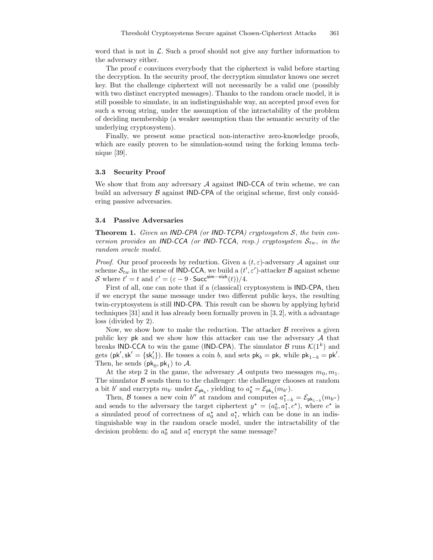word that is not in  $\mathcal{L}$ . Such a proof should not give any further information to the adversary either.

The proof c convinces everybody that the ciphertext is valid before starting the decryption. In the security proof, the decryption simulator knows one secret key. But the challenge ciphertext will not necessarily be a valid one (possibly with two distinct encrypted messages). Thanks to the random oracle model, it is still possible to simulate, in an indistinguishable way, an accepted proof even for such a wrong string, under the assumption of the intractability of the problem of deciding membership (a weaker assumption than the semantic security of the underlying cryptosystem).

Finally, we present some practical non-interactive zero-knowledge proofs, which are easily proven to be simulation-sound using the forking lemma technique [39].

## 3.3 Security Proof

We show that from any adversary  $A$  against IND-CCA of twin scheme, we can build an adversary  $\beta$  against IND-CPA of the original scheme, first only considering passive adversaries.

#### 3.4 Passive Adversaries

**Theorem 1.** Given an IND-CPA (or IND-TCPA) cryptosystem  $S$ , the twin conversion provides an IND-CCA (or IND-TCCA, resp.) cryptosystem  $S_{tw}$ , in the random oracle model.

*Proof.* Our proof proceeds by reduction. Given a  $(t, \varepsilon)$ -adversary A against our scheme  $S_{tw}$  in the sense of IND-CCA, we build a  $(t', \varepsilon')$ -attacker B against scheme S where  $t' = t$  and  $\varepsilon' = (\varepsilon - 9 \cdot \text{Succ}^{\text{sim}-\text{mixk}}(t))/4$ .

First of all, one can note that if a (classical) cryptosystem is IND-CPA, then if we encrypt the same message under two different public keys, the resulting twin-cryptosystem is still IND-CPA. This result can be shown by applying hybrid techniques [31] and it has already been formally proven in [3, 2], with a advantage loss (divided by 2).

Now, we show how to make the reduction. The attacker  $\beta$  receives a given public key pk and we show how this attacker can use the adversary  $A$  that breaks IND-CCA to win the game (IND-CPA). The simulator  $\mathcal{B}$  runs  $\mathcal{K}(1^k)$  and gets ( $pk$ ,  $sk' = {sk'_{i}}$ ). He tosses a coin b, and sets  $pk_{b} = pk$ , while  $pk_{1-b} = pk'$ . Then, he sends  $(\mathsf{pk}_0, \mathsf{pk}_1)$  to A.

At the step 2 in the game, the adversary A outputs two messages  $m_0, m_1$ . The simulator  $\beta$  sends them to the challenger: the challenger chooses at random a bit b' and encrypts  $m_{b'}$  under  $\mathcal{E}_{\mathsf{pk}_b}$ , yielding to  $a_b^* = \mathcal{E}_{\mathsf{pk}_b}(m_{b'}).$ 

Then, B tosses a new coin b'' at random and computes  $a_{1-b}^* = \mathcal{E}_{\mathsf{pk}_{1-b}}(m_{b''})$ and sends to the adversary the target ciphertext  $y^* = (a_0^*, a_1^*, c^*)$ , where  $c^*$  is a simulated proof of correctness of  $a_0^*$  and  $a_1^*$ , which can be done in an indistinguishable way in the random oracle model, under the intractability of the decision problem: do  $a_0^*$  and  $a_1^*$  encrypt the same message?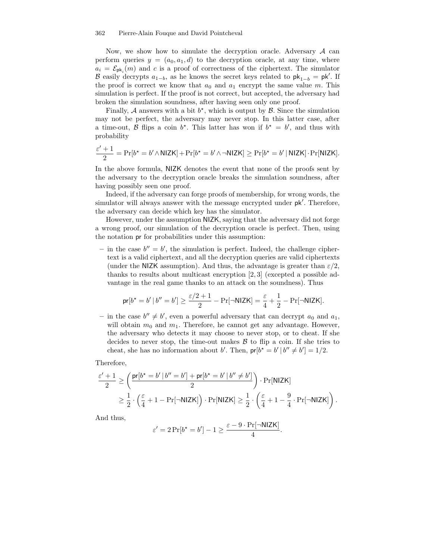#### 362 Pierre-Alain Fouque and David Pointcheval

Now, we show how to simulate the decryption oracle. Adversary  $A$  can perform queries  $y = (a_0, a_1, d)$  to the decryption oracle, at any time, where  $a_i = \mathcal{E}_{\mathsf{pk}_i}(m)$  and c is a proof of correctness of the ciphertext. The simulator B easily decrypts  $a_{1-b}$ , as he knows the secret keys related to  $\mathsf{pk}_{1-b} = \mathsf{pk}'$ . If the proof is correct we know that  $a_0$  and  $a_1$  encrypt the same value m. This simulation is perfect. If the proof is not correct, but accepted, the adversary had broken the simulation soundness, after having seen only one proof.

Finally,  $A$  answers with a bit  $b^*$ , which is output by  $B$ . Since the simulation may not be perfect, the adversary may never stop. In this latter case, after a time-out, B flips a coin  $b^*$ . This latter has won if  $b^* = b'$ , and thus with probability

$$
\frac{\varepsilon' + 1}{2} = \Pr[b^{\star} = b' \land \mathsf{NIZK}] + \Pr[b^{\star} = b' \land \neg \mathsf{NIZK}] \ge \Pr[b^{\star} = b' \mid \mathsf{NIZK}] \cdot \Pr[\mathsf{NIZK}].
$$

In the above formula, NIZK denotes the event that none of the proofs sent by the adversary to the decryption oracle breaks the simulation soundness, after having possibly seen one proof.

Indeed, if the adversary can forge proofs of membership, for wrong words, the simulator will always answer with the message encrypted under  $pk'$ . Therefore, the adversary can decide which key has the simulator.

However, under the assumption NIZK, saying that the adversary did not forge a wrong proof, our simulation of the decryption oracle is perfect. Then, using the notation pr for probabilities under this assumption:

- in the case  $b'' = b'$ , the simulation is perfect. Indeed, the challenge ciphertext is a valid ciphertext, and all the decryption queries are valid ciphertexts (under the NIZK assumption). And thus, the advantage is greater than  $\varepsilon/2$ , thanks to results about multicast encryption  $[2,3]$  (excepted a possible advantage in the real game thanks to an attack on the soundness). Thus

$$
\text{pr}[b^{\star}=b'\,|\,b''=b']\geq \frac{\varepsilon/2+1}{2}-\Pr[\neg \text{NIZK}]=\frac{\varepsilon}{4}+\frac{1}{2}-\Pr[\neg \text{NIZK}].
$$

– in the case  $b'' \neq b'$ , even a powerful adversary that can decrypt  $a_0$  and  $a_1$ , will obtain  $m_0$  and  $m_1$ . Therefore, he cannot get any advantage. However, the adversary who detects it may choose to never stop, or to cheat. If she decides to never stop, the time-out makes  $\beta$  to flip a coin. If she tries to cheat, she has no information about b'. Then,  $\mathsf{pr}[b^* = b' | b'' \neq b'] = 1/2$ .

Therefore,

$$
\frac{\varepsilon' + 1}{2} \ge \left( \frac{\text{pr}[b^{\star} = b' \mid b'' = b'] + \text{pr}[b^{\star} = b' \mid b'' \ne b']}{2} \right) \cdot \Pr[\text{NIZK}]
$$

$$
\ge \frac{1}{2} \cdot \left( \frac{\varepsilon}{4} + 1 - \Pr[\neg \text{NIZK}] \right) \cdot \Pr[\text{NIZK}] \ge \frac{1}{2} \cdot \left( \frac{\varepsilon}{4} + 1 - \frac{9}{4} \cdot \Pr[\neg \text{NIZK}] \right).
$$

And thus,

$$
\varepsilon' = 2\Pr[b^\star = b'] - 1 \ge \frac{\varepsilon - 9 \cdot \Pr[\neg \mathsf{NIZK}]}{4}
$$

.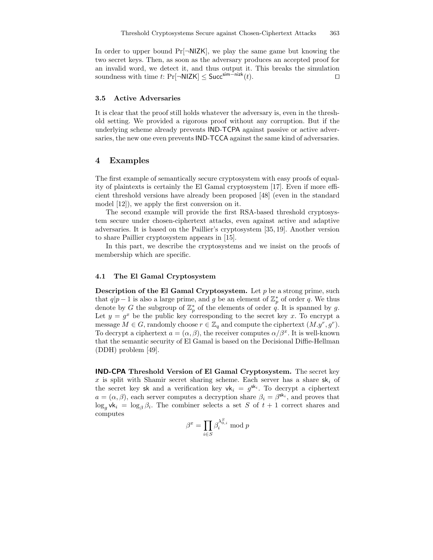In order to upper bound  $Pr[\neg NIZK]$ , we play the same game but knowing the two secret keys. Then, as soon as the adversary produces an accepted proof for an invalid word, we detect it, and thus output it. This breaks the simulation soundness with time t: Pr[¬NIZK]  $\leq$  Succ<sup>sim−nizk</sup>(t).  $\Box$ 

#### 3.5 Active Adversaries

It is clear that the proof still holds whatever the adversary is, even in the threshold setting. We provided a rigorous proof without any corruption. But if the underlying scheme already prevents IND-TCPA against passive or active adversaries, the new one even prevents IND-TCCA against the same kind of adversaries.

# 4 Examples

The first example of semantically secure cryptosystem with easy proofs of equality of plaintexts is certainly the El Gamal cryptosystem [17]. Even if more efficient threshold versions have already been proposed [48] (even in the standard model [12]), we apply the first conversion on it.

The second example will provide the first RSA-based threshold cryptosystem secure under chosen-ciphertext attacks, even against active and adaptive adversaries. It is based on the Paillier's cryptosystem [35, 19]. Another version to share Paillier cryptosystem appears in [15].

In this part, we describe the cryptosystems and we insist on the proofs of membership which are specific.

## 4.1 The El Gamal Cryptosystem

**Description of the El Gamal Cryptosystem.** Let  $p$  be a strong prime, such that  $q|p-1$  is also a large prime, and g be an element of  $\mathbb{Z}_p^*$  of order q. We thus denote by G the subgroup of  $\mathbb{Z}_p^*$  of the elements of order q. It is spanned by g. Let  $y = g^x$  be the public key corresponding to the secret key x. To encrypt a message  $M \in G$ , randomly choose  $r \in \mathbb{Z}_q$  and compute the ciphertext  $(M.y^r, g^r)$ . To decrypt a ciphertext  $a = (\alpha, \beta)$ , the receiver computes  $\alpha/\beta^x$ . It is well-known that the semantic security of El Gamal is based on the Decisional Diffie-Hellman (DDH) problem [49].

IND-CPA Threshold Version of El Gamal Cryptosystem. The secret key x is split with Shamir secret sharing scheme. Each server has a share  $sk_i$  of the secret key sk and a verification key  $vk_i = g^{sk_i}$ . To decrypt a ciphertext  $a = (\alpha, \beta)$ , each server computes a decryption share  $\beta_i = \beta^{sk_i}$ , and proves that  $\log_g \mathsf{vk}_i = \log_\beta \beta_i$ . The combiner selects a set S of  $t+1$  correct shares and computes

$$
\beta^x=\prod_{i\in S}\beta_i^{\lambda_{0,i}^S}\bmod p
$$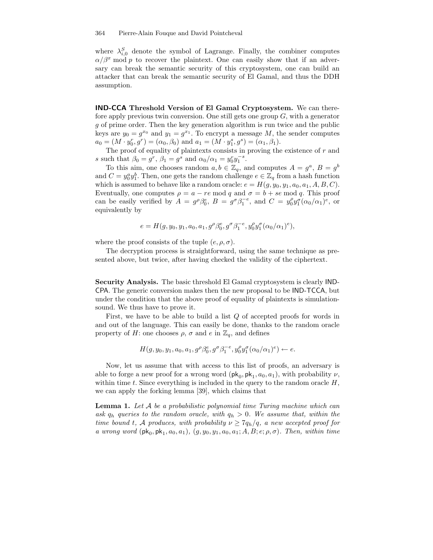#### 364 Pierre-Alain Fouque and David Pointcheval

where  $\lambda_{i,0}^S$  denote the symbol of Lagrange. Finally, the combiner computes  $\alpha/\beta^x$  mod p to recover the plaintext. One can easily show that if an adversary can break the semantic security of this cryptosystem, one can build an attacker that can break the semantic security of El Gamal, and thus the DDH assumption.

IND-CCA Threshold Version of El Gamal Cryptosystem. We can therefore apply previous twin conversion. One still gets one group  $G$ , with a generator g of prime order. Then the key generation algorithm is run twice and the public keys are  $y_0 = g^{x_0}$  and  $y_1 = g^{x_1}$ . To encrypt a message M, the sender computes  $a_0 = (M \cdot y_0^r, g^r) = (\alpha_0, \beta_0)$  and  $a_1 = (M \cdot y_1^s, g^s) = (\alpha_1, \beta_1)$ .

The proof of equality of plaintexts consists in proving the existence of r and s such that  $\beta_0 = g^r$ ,  $\beta_1 = g^s$  and  $\alpha_0/\alpha_1 = y_0^r y_1^{-s}$ .

To this aim, one chooses random  $a, b \in \mathbb{Z}_q$ , and computes  $A = g^a, B = g^b$ and  $C = y_0^a y_1^b$ . Then, one gets the random challenge  $e \in \mathbb{Z}_q$  from a hash function which is assumed to behave like a random oracle:  $e = H(g, y_0, y_1, a_0, a_1, A, B, C)$ . Eventually, one computes  $\rho = a - re \mod q$  and  $\sigma = b + se \mod q$ . This proof can be easily verified by  $A = g^{\rho} \beta_0^e$ ,  $B = g^{\sigma} \beta_1^{-e}$ , and  $C = y_0^{\rho} y_1^{\sigma} (\alpha_0/\alpha_1)^e$ , or equivalently by

$$
e = H(g, y_0, y_1, a_0, a_1, g^{\rho} \beta_0^e, g^{\sigma} \beta_1^{-e}, y_0^{\rho} y_1^{\sigma} (\alpha_0/\alpha_1)^e),
$$

where the proof consists of the tuple  $(e, \rho, \sigma)$ .

The decryption process is straightforward, using the same technique as presented above, but twice, after having checked the validity of the ciphertext.

Security Analysis. The basic threshold El Gamal cryptosystem is clearly IND-CPA. The generic conversion makes then the new proposal to be IND-TCCA, but under the condition that the above proof of equality of plaintexts is simulationsound. We thus have to prove it.

First, we have to be able to build a list Q of accepted proofs for words in and out of the language. This can easily be done, thanks to the random oracle property of H: one chooses  $\rho$ ,  $\sigma$  and  $e$  in  $\mathbb{Z}_q$ , and defines

$$
H(g,y_0,y_1,a_0,a_1,g^{\rho}\beta_0^e,g^{\sigma}\beta_1^{-e},y_0^{\rho}y_1^{\sigma}(\alpha_0/\alpha_1)^e) \leftarrow e.
$$

Now, let us assume that with access to this list of proofs, an adversary is able to forge a new proof for a wrong word  $(\mathsf{pk}_0, \mathsf{pk}_1, a_0, a_1)$ , with probability  $\nu$ , within time t. Since everything is included in the query to the random oracle  $H$ , we can apply the forking lemma [39], which claims that

**Lemma 1.** Let  $A$  be a probabilistic polynomial time Turing machine which can ask  $q_h$  queries to the random oracle, with  $q_h > 0$ . We assume that, within the time bound t, A produces, with probability  $\nu \geq 7q_h/q$ , a new accepted proof for a wrong word  $(\mathsf{pk}_0, \mathsf{pk}_1, a_0, a_1), (g, y_0, y_1, a_0, a_1; A, B; e; \rho, \sigma)$ . Then, within time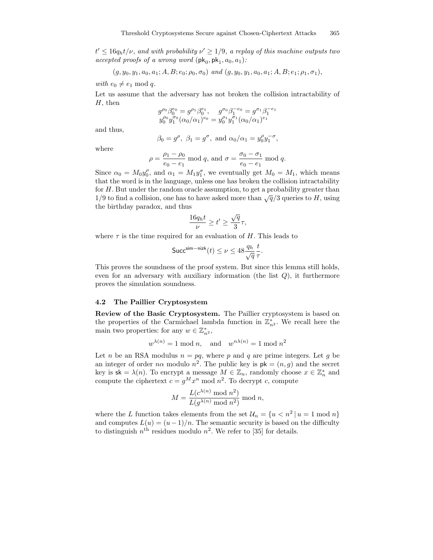$t' \leq 16q_h t/\nu$ , and with probability  $\nu' \geq 1/9$ , a replay of this machine outputs two accepted proofs of a wrong word  $(\mathsf{pk}_0, \mathsf{pk}_1, a_0, a_1)$ :

$$
(g, y_0, y_1, a_0, a_1; A, B; e_0; \rho_0, \sigma_0)
$$
 and  $(g, y_0, y_1, a_0, a_1; A, B; e_1; \rho_1, \sigma_1)$ ,

with  $e_0 \neq e_1 \mod q$ .

Let us assume that the adversary has not broken the collision intractability of  $H$ , then

$$
\begin{array}{ll}g^{\rho_{0}}\beta_{0}^{e_{0}}=g^{\rho_{1}}\beta_{0}^{e_{1}}, & g^{\sigma_{0}}\beta_{1}^{-e_{0}}=g^{\sigma_{1}}\beta_{1}^{-e_{1}}\\ y_{0}^{\rho_{0}}y_{1}^{\sigma_{0}}(\alpha_{0}/\alpha_{1})^{e_{0}}=y_{0}^{\rho_{1}}y_{1}^{\sigma_{1}}(\alpha_{0}/\alpha_{1})^{e_{1}}\\ \end{array}
$$

and thus,

$$
\beta_0 = g^{\rho}, \ \beta_1 = g^{\sigma}, \ \text{and} \ \alpha_0/\alpha_1 = y_0^{\rho}y_1^{-\sigma},
$$

where

$$
\rho = \frac{\rho_1 - \rho_0}{e_0 - e_1}
$$
 mod q, and  $\sigma = \frac{\sigma_0 - \sigma_1}{e_0 - e_1}$  mod q.

Since  $\alpha_0 = M_0 y_0^{\rho}$ , and  $\alpha_1 = M_1 y_1^{\sigma}$ , we eventually get  $M_0 = M_1$ , which means that the word is in the language, unless one has broken the collision intractability for H. But under the random oracle assumption, to get a probability greater than 1/9 to find a collision, one has to have asked more than  $\sqrt{q}/3$  queries to H, using the birthday paradox, and thus

$$
\frac{16q_h t}{\nu} \ge t' \ge \frac{\sqrt{q}}{3}\tau,
$$

where  $\tau$  is the time required for an evaluation of H. This leads to

$$
\mathsf{Succ}^{\mathsf{sim-nizk}}(t) \leq \nu \leq 48 \frac{q_h}{\sqrt{q}} \frac{t}{\tau}.
$$

This proves the soundness of the proof system. But since this lemma still holds, even for an adversary with auxiliary information (the list  $Q$ ), it furthermore proves the simulation soundness.

## 4.2 The Paillier Cryptosystem

Review of the Basic Cryptosystem. The Paillier cryptosystem is based on the properties of the Carmichael lambda function in  $\mathbb{Z}_{n^2}^*$ . We recall here the main two properties: for any  $w \in \mathbb{Z}_{n^2}^*$ ,

$$
w^{\lambda(n)} = 1 \mod n
$$
, and  $w^{n\lambda(n)} = 1 \mod n^2$ 

Let *n* be an RSA modulus  $n = pq$ , where *p* and *q* are prime integers. Let *g* be an integer of order  $n\alpha$  modulo  $n^2$ . The public key is  $pk = (n, g)$  and the secret key is  $\mathsf{sk} = \lambda(n)$ . To encrypt a message  $M \in \mathbb{Z}_n$ , randomly choose  $x \in \mathbb{Z}_n^*$  and compute the ciphertext  $c = g^M x^n \mod n^2$ . To decrypt c, compute

$$
M = \frac{L(c^{\lambda(n)} \bmod n^2)}{L(g^{\lambda(n)} \bmod n^2)} \bmod n,
$$

where the L function takes elements from the set  $\mathcal{U}_n = \{u < n^2 \mid u = 1 \mod n\}$ and computes  $L(u) = (u-1)/n$ . The semantic security is based on the difficulty to distinguish  $n<sup>th</sup>$  residues modulo  $n<sup>2</sup>$ . We refer to [35] for details.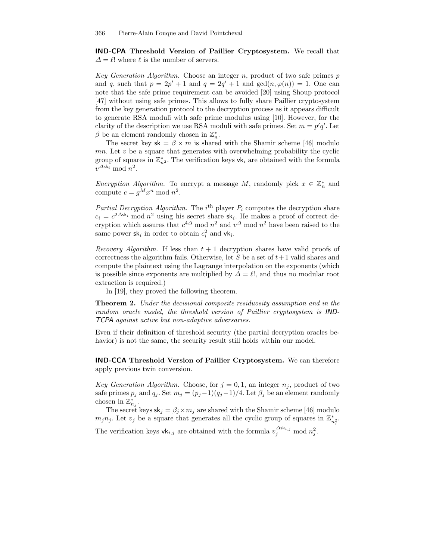IND-CPA Threshold Version of Paillier Cryptosystem. We recall that  $\Delta = \ell!$  where  $\ell$  is the number of servers.

Key Generation Algorithm. Choose an integer n, product of two safe primes  $p$ and q, such that  $p = 2p' + 1$  and  $q = 2q' + 1$  and  $gcd(n, \varphi(n)) = 1$ . One can note that the safe prime requirement can be avoided [20] using Shoup protocol [47] without using safe primes. This allows to fully share Paillier cryptosystem from the key generation protocol to the decryption process as it appears difficult to generate RSA moduli with safe prime modulus using [10]. However, for the clarity of the description we use RSA moduli with safe primes. Set  $m = p'q'$ . Let  $\beta$  be an element randomly chosen in  $\mathbb{Z}_n^*$ .

The secret key  $sk = \beta \times m$  is shared with the Shamir scheme [46] modulo  $mn.$  Let  $v$  be a square that generates with overwhelming probability the cyclic group of squares in  $\mathbb{Z}_{n^2}^*$ . The verification keys vk<sub>i</sub> are obtained with the formula  $v^{\Delta \textsf{sk}_i} \bmod n^2$ .

Encryption Algorithm. To encrypt a message M, randomly pick  $x \in \mathbb{Z}_n^*$  and compute  $c = g^M x^n \bmod n^2$ .

Partial Decryption Algorithm. The  $i<sup>th</sup>$  player  $P_i$  computes the decryption share  $c_i = c^{2\Delta s k_i}$  mod  $n^2$  using his secret share  $sk_i$ . He makes a proof of correct decryption which assures that  $c^{4\Delta}$  mod  $n^2$  and  $v^{\Delta}$  mod  $n^2$  have been raised to the same power  $sk_i$  in order to obtain  $c_i^2$  and  $vk_i$ .

Recovery Algorithm. If less than  $t + 1$  decryption shares have valid proofs of correctness the algorithm fails. Otherwise, let S be a set of  $t+1$  valid shares and compute the plaintext using the Lagrange interpolation on the exponents (which is possible since exponents are multiplied by  $\Delta = \ell!$ , and thus no modular root extraction is required.)

In [19], they proved the following theorem.

Theorem 2. Under the decisional composite residuosity assumption and in the random oracle model, the threshold version of Paillier cryptosystem is IND-TCPA against active but non-adaptive adversaries.

Even if their definition of threshold security (the partial decryption oracles behavior) is not the same, the security result still holds within our model.

IND-CCA Threshold Version of Paillier Cryptosystem. We can therefore apply previous twin conversion.

Key Generation Algorithm. Choose, for  $j = 0, 1$ , an integer  $n_j$ , product of two safe primes  $p_j$  and  $q_j$ . Set  $m_j = (p_j-1)(q_j-1)/4$ . Let  $\beta_j$  be an element randomly chosen in  $\mathbb{Z}_{n_j}^*$ .

The secret keys  $\mathsf{sk}_j = \beta_j \times m_j$  are shared with the Shamir scheme [46] modulo  $m_j n_j$ . Let  $v_j$  be a square that generates all the cyclic group of squares in  $\mathbb{Z}_{n_j^2}^*$ . The verification keys  $\mathsf{vk}_{i,j}$  are obtained with the formula  $v_j^{\Delta \mathsf{sk}_{i,j}}$  mod  $n_j^2$ .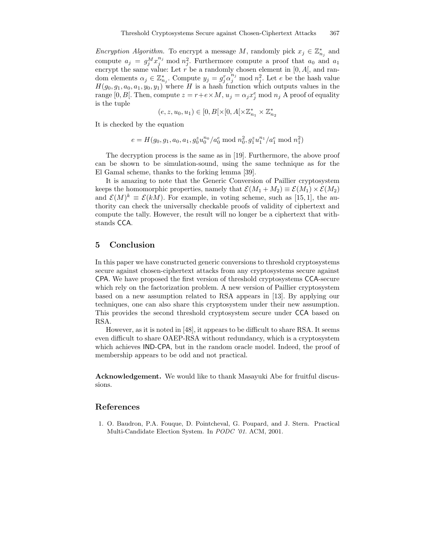Encryption Algorithm. To encrypt a message M, randomly pick  $x_j \in \mathbb{Z}_{n_j}^*$  and compute  $a_j = g_j^M x_j^{n_j} \mod n_j^2$ . Furthermore compute a proof that  $a_0$  and  $a_1$ encrypt the same value: Let r be a randomly chosen element in  $[0, A]$ , and random elements  $\alpha_j \in \mathbb{Z}_{n_j}^*$ . Compute  $y_j = g_j^r \alpha_j^{n_j} \mod n_j^2$ . Let e be the hash value  $H(g_0, g_1, a_0, a_1, y_0, y_1)$  where H is a hash function which outputs values in the range [0, B[. Then, compute  $z = r + e \times M$ ,  $u_j = \alpha_j x_j^e \mod n_j$  A proof of equality is the tuple

$$
(e,z,u_0,u_1)\in[0,B[\times[0,A[\times\mathbb{Z}_{n_1}^*\times\mathbb{Z}_{n_2}^*
$$

It is checked by the equation

$$
e=H(g_0,g_1,a_0,a_1,g_0^zu_0^{n_0}/a_0^e \bmod n_0^2, g_1^zu_1^{n_1}/a_1^e \bmod n_1^2)
$$

The decryption process is the same as in [19]. Furthermore, the above proof can be shown to be simulation-sound, using the same technique as for the El Gamal scheme, thanks to the forking lemma [39].

It is amazing to note that the Generic Conversion of Paillier cryptosystem keeps the homomorphic properties, namely that  $\mathcal{E}(M_1 + M_2) \equiv \mathcal{E}(M_1) \times \mathcal{E}(M_2)$ and  $\mathcal{E}(M)^k \equiv \mathcal{E}(kM)$ . For example, in voting scheme, such as [15, 1], the authority can check the universally checkable proofs of validity of ciphertext and compute the tally. However, the result will no longer be a ciphertext that withstands CCA.

# 5 Conclusion

In this paper we have constructed generic conversions to threshold cryptosystems secure against chosen-ciphertext attacks from any cryptosystems secure against CPA. We have proposed the first version of threshold cryptosystems CCA-secure which rely on the factorization problem. A new version of Paillier cryptosystem based on a new assumption related to RSA appears in [13]. By applying our techniques, one can also share this cryptosystem under their new assumption. This provides the second threshold cryptosystem secure under CCA based on RSA.

However, as it is noted in [48], it appears to be difficult to share RSA. It seems even difficult to share OAEP-RSA without redundancy, which is a cryptosystem which achieves **IND-CPA**, but in the random oracle model. Indeed, the proof of membership appears to be odd and not practical.

Acknowledgement. We would like to thank Masayuki Abe for fruitful discussions.

## References

1. O. Baudron, P.A. Fouque, D. Pointcheval, G. Poupard, and J. Stern. Practical Multi-Candidate Election System. In PODC '01. ACM, 2001.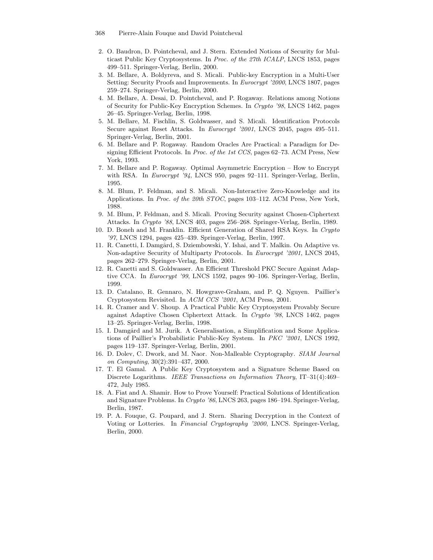- 368 Pierre-Alain Fouque and David Pointcheval
- 2. O. Baudron, D. Pointcheval, and J. Stern. Extended Notions of Security for Multicast Public Key Cryptosystems. In Proc. of the 27th ICALP, LNCS 1853, pages 499–511. Springer-Verlag, Berlin, 2000.
- 3. M. Bellare, A. Boldyreva, and S. Micali. Public-key Encryption in a Multi-User Setting: Security Proofs and Improvements. In Eurocrypt '2000, LNCS 1807, pages 259–274. Springer-Verlag, Berlin, 2000.
- 4. M. Bellare, A. Desai, D. Pointcheval, and P. Rogaway. Relations among Notions of Security for Public-Key Encryption Schemes. In Crypto '98, LNCS 1462, pages 26–45. Springer-Verlag, Berlin, 1998.
- 5. M. Bellare, M. Fischlin, S. Goldwasser, and S. Micali. Identification Protocols Secure against Reset Attacks. In Eurocrypt '2001, LNCS 2045, pages 495–511. Springer-Verlag, Berlin, 2001.
- 6. M. Bellare and P. Rogaway. Random Oracles Are Practical: a Paradigm for Designing Efficient Protocols. In Proc. of the 1st CCS, pages 62–73. ACM Press, New York, 1993.
- 7. M. Bellare and P. Rogaway. Optimal Asymmetric Encryption How to Encrypt with RSA. In *Eurocrypt '94*, LNCS 950, pages 92–111. Springer-Verlag, Berlin, 1995.
- 8. M. Blum, P. Feldman, and S. Micali. Non-Interactive Zero-Knowledge and its Applications. In Proc. of the 20th STOC, pages 103–112. ACM Press, New York, 1988.
- 9. M. Blum, P. Feldman, and S. Micali. Proving Security against Chosen-Ciphertext Attacks. In Crypto '88, LNCS 403, pages 256–268. Springer-Verlag, Berlin, 1989.
- 10. D. Boneh and M. Franklin. Efficient Generation of Shared RSA Keys. In Crypto '97, LNCS 1294, pages 425–439. Springer-Verlag, Berlin, 1997.
- 11. R. Canetti, I. Damgård, S. Dziembowski, Y. Ishai, and T. Malkin. On Adaptive vs. Non-adaptive Security of Multiparty Protocols. In Eurocrypt '2001, LNCS 2045, pages 262–279. Springer-Verlag, Berlin, 2001.
- 12. R. Canetti and S. Goldwasser. An Efficient Threshold PKC Secure Against Adaptive CCA. In Eurocrypt '99, LNCS 1592, pages 90–106. Springer-Verlag, Berlin, 1999.
- 13. D. Catalano, R. Gennaro, N. Howgrave-Graham, and P. Q. Nguyen. Paillier's Cryptosystem Revisited. In ACM CCS '2001, ACM Press, 2001.
- 14. R. Cramer and V. Shoup. A Practical Public Key Cryptosystem Provably Secure against Adaptive Chosen Ciphertext Attack. In Crypto '98, LNCS 1462, pages 13–25. Springer-Verlag, Berlin, 1998.
- 15. I. Damgård and M. Jurik. A Generalisation, a Simplification and Some Applications of Paillier's Probabilistic Public-Key System. In PKC '2001, LNCS 1992, pages 119–137. Springer-Verlag, Berlin, 2001.
- 16. D. Dolev, C. Dwork, and M. Naor. Non-Malleable Cryptography. SIAM Journal on Computing, 30(2):391–437, 2000.
- 17. T. El Gamal. A Public Key Cryptosystem and a Signature Scheme Based on Discrete Logarithms. IEEE Transactions on Information Theory, IT–31(4):469– 472, July 1985.
- 18. A. Fiat and A. Shamir. How to Prove Yourself: Practical Solutions of Identification and Signature Problems. In Crypto '86, LNCS 263, pages 186–194. Springer-Verlag, Berlin, 1987.
- 19. P. A. Fouque, G. Poupard, and J. Stern. Sharing Decryption in the Context of Voting or Lotteries. In Financial Cryptography '2000, LNCS. Springer-Verlag, Berlin, 2000.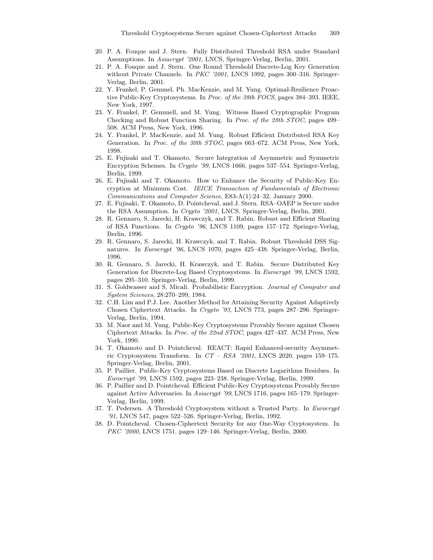- 20. P. A. Fouque and J. Stern. Fully Distributed Threshold RSA under Standard Assumptions. In Asiacrypt '2001, LNCS, Springer-Verlag, Berlin, 2001.
- 21. P. A. Fouque and J. Stern. One Round Threshold Discrete-Log Key Generation without Private Channels. In PKC '2001, LNCS 1992, pages 300–316. Springer-Verlag, Berlin, 2001.
- 22. Y. Frankel, P. Gemmel, Ph. MacKenzie, and M. Yung. Optimal-Resilience Proactive Public-Key Cryptosystems. In Proc. of the 38th FOCS, pages 384–393. IEEE, New York, 1997.
- 23. Y. Frankel, P. Gemmell, and M. Yung. Witness Based Cryptographic Program Checking and Robust Function Sharing. In Proc. of the 28th STOC, pages 499– 508. ACM Press, New York, 1996.
- 24. Y. Frankel, P. MacKenzie, and M. Yung. Robust Efficient Distributed RSA Key Generation. In Proc. of the 30th STOC, pages 663–672. ACM Press, New York, 1998.
- 25. E. Fujisaki and T. Okamoto. Secure Integration of Asymmetric and Symmetric Encryption Schemes. In Crypto '99, LNCS 1666, pages 537–554. Springer-Verlag, Berlin, 1999.
- 26. E. Fujisaki and T. Okamoto. How to Enhance the Security of Public-Key Encryption at Minimum Cost. IEICE Transaction of Fundamentals of Electronic Communications and Computer Science, E83-A(1):24–32, January 2000.
- 27. E. Fujisaki, T. Okamoto, D. Pointcheval, and J. Stern. RSA–OAEP is Secure under the RSA Assumption. In Crypto '2001, LNCS. Springer-Verlag, Berlin, 2001.
- 28. R. Gennaro, S. Jarecki, H. Krawczyk, and T. Rabin. Robust and Efficient Sharing of RSA Functions. In Crypto '96, LNCS 1109, pages 157–172. Springer-Verlag, Berlin, 1996.
- 29. R. Gennaro, S. Jarecki, H. Krawczyk, and T. Rabin. Robust Threshold DSS Signatures. In Eurocrypt '96, LNCS 1070, pages 425–438. Springer-Verlag, Berlin, 1996.
- 30. R. Gennaro, S. Jarecki, H. Krawczyk, and T. Rabin. Secure Distributed Key Generation for Discrete-Log Based Cryptosystems. In Eurocrypt '99, LNCS 1592, pages 295–310. Springer-Verlag, Berlin, 1999.
- 31. S. Goldwasser and S. Micali. Probabilistic Encryption. Journal of Computer and System Sciences, 28:270–299, 1984.
- 32. C.H. Lim and P.J. Lee. Another Method for Attaining Security Against Adaptively Chosen Ciphertext Attacks. In Crypto '93, LNCS 773, pages 287–296. Springer-Verlag, Berlin, 1994.
- 33. M. Naor and M. Yung. Public-Key Cryptosystems Provably Secure against Chosen Ciphertext Attacks. In Proc. of the 22nd STOC, pages 427–437. ACM Press, New York, 1990.
- 34. T. Okamoto and D. Pointcheval. REACT: Rapid Enhanced-security Asymmetric Cryptosystem Transform. In  $CT - RSA$  '2001, LNCS 2020, pages 159–175. Springer-Verlag, Berlin, 2001.
- 35. P. Paillier. Public-Key Cryptosystems Based on Discrete Logarithms Residues. In Eurocrypt '99, LNCS 1592, pages 223–238. Springer-Verlag, Berlin, 1999.
- 36. P. Paillier and D. Pointcheval. Efficient Public-Key Cryptosystems Provably Secure against Active Adversaries. In Asiacrypt '99, LNCS 1716, pages 165–179. Springer-Verlag, Berlin, 1999.
- 37. T. Pedersen. A Threshold Cryptosystem without a Trusted Party. In Eurocrypt '91, LNCS 547, pages 522–526. Springer-Verlag, Berlin, 1992.
- 38. D. Pointcheval. Chosen-Ciphertext Security for any One-Way Cryptosystem. In PKC '2000, LNCS 1751, pages 129–146. Springer-Verlag, Berlin, 2000.